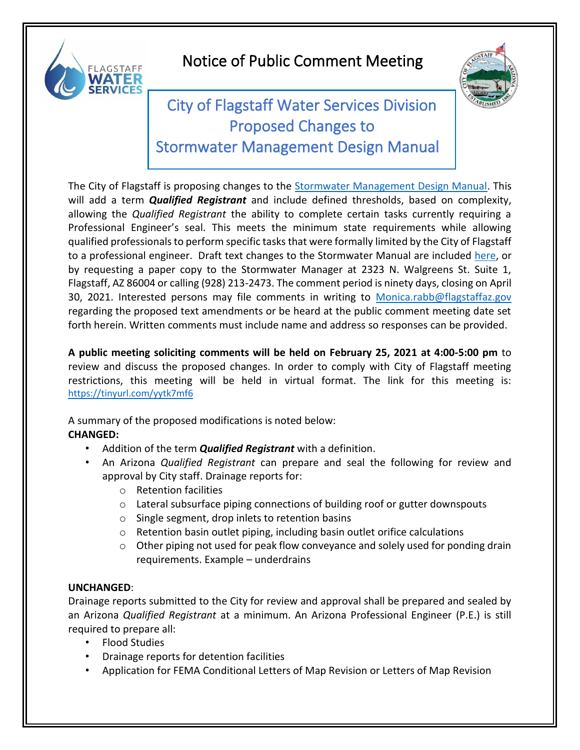

## Notice of Public Comment Meeting



## City of Flagstaff Water Services Division Proposed Changes to Stormwater Management Design Manual

The City of Flagstaff is proposing changes to the [Stormwater Management Design Manual.](https://www.flagstaff.az.gov/DocumentCenter/View/58133/SWMgmtDesignManual-3-09?bidId=) This will add a term *Qualified Registrant* and include defined thresholds, based on complexity, allowing the *Qualified Registrant* the ability to complete certain tasks currently requiring a Professional Engineer's seal. This meets the minimum state requirements while allowing qualified professionals to perform specific tasks that were formally limited by the City of Flagstaff to a professional engineer. Draft text changes to the Stormwater Manual are included [here,](https://www.flagstaff.az.gov/DocumentCenter/View/65734/SW-Design-Manual-Revisions---Qualified-Registrant) or by requesting a paper copy to the Stormwater Manager at 2323 N. Walgreens St. Suite 1, Flagstaff, AZ 86004 or calling (928) 213-2473. The comment period is ninety days, closing on April 30, 2021. Interested persons may file comments in writing to [Monica.rabb@flagstaffaz.gov](mailto:Monica.rabb@flagstaffaz.gov) regarding the proposed text amendments or be heard at the public comment meeting date set forth herein. Written comments must include name and address so responses can be provided.

**A public meeting soliciting comments will be held on February 25, 2021 at 4:00-5:00 pm** to review and discuss the proposed changes. In order to comply with City of Flagstaff meeting restrictions, this meeting will be held in virtual format. The link for this meeting is: [https://tinyurl.com/yytk7mf6](https://gcc01.safelinks.protection.outlook.com/?url=https%3A%2F%2Ftinyurl.com%2Fyytk7mf6&data=04%7C01%7CLDeem%40flagstaffaz.gov%7Cc5b7ddd30ab14622e2d008d8c17a914d%7C5da727b9fb8848b4aa072a40088a046d%7C0%7C0%7C637472079453391721%7CUnknown%7CTWFpbGZsb3d8eyJWIjoiMC4wLjAwMDAiLCJQIjoiV2luMzIiLCJBTiI6Ik1haWwiLCJXVCI6Mn0%3D%7C1000&sdata=6mkn9REquU62KzHVKMxYFMOiCKEWaI1QoaEBAeXDPEc%3D&reserved=0)

A summary of the proposed modifications is noted below: **CHANGED:**

- Addition of the term *Qualified Registrant* with a definition.
- An Arizona *Qualified Registrant* can prepare and seal the following for review and approval by City staff. Drainage reports for:
	- o Retention facilities
	- $\circ$  Lateral subsurface piping connections of building roof or gutter downspouts
	- o Single segment, drop inlets to retention basins
	- o Retention basin outlet piping, including basin outlet orifice calculations
	- o Other piping not used for peak flow conveyance and solely used for ponding drain requirements. Example – underdrains

## **UNCHANGED**:

Drainage reports submitted to the City for review and approval shall be prepared and sealed by an Arizona *Qualified Registrant* at a minimum. An Arizona Professional Engineer (P.E.) is still required to prepare all:

- Flood Studies
- Drainage reports for detention facilities
- Application for FEMA Conditional Letters of Map Revision or Letters of Map Revision